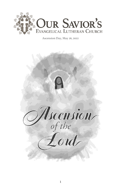

Ascension Day, May 26, 2022

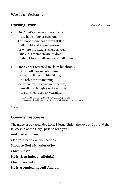# **Words of Welcome**

# **Opening Hymn** *CW 476 sts. 1–2*

1 On Christ's ascension I now build the hope of my ascension. This hope alone has always stilled all doubt and apprehension, for where the head is, there as well I know his members are to dwell when Christ shall come and call them.

2 Since Christ returned to claim his throne, great gifts for me obtaining, my heart will rest in him alone, no other rest remaining, for where my treasure went before, there all my thoughts will ever soar to still their deepest yearning.

Text: tr. William M. Czamanske, 1873–1964, alt.; Josua Wegelin, 1604–1640 Text: © 1941 Concordia Publishing House. Used by permission: OneLicense no. 716671

### *Stand*

# **Opening Responses**

The grace of our ascended Lord **†** Jesus Christ, the love of God, and the fellowship of the Holy Spirit be with you.

### **And also with you.**

Clap your hands, all you nations!

### **Shout to God with cries of joy!**

Christ is risen!

### **He is risen indeed! Alleluia!**

Christ is ascended!

### **He is ascended indeed! Alleluia!**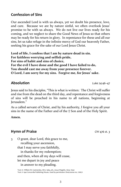# **Confession of Sins**

Our ascended Lord is with us always, yet we doubt his presence, love, and care. Because we are by nature sinful, we often overlook Jesus' promise to be with us always. We do not live our lives ready for his coming, and we neglect to share the Good News of Jesus so that others may be ready for his return in glory. In repentance for these and all our sins, let us take refuge in the infinite mercy of God our heavenly Father, seeking his grace for the sake of our Lord Jesus Christ.

**Lord of life, I confess that I am by nature dead in sin. For faithless worrying and selfish pride, For sins of habit and sins of choice, For the evil I have done and the good I have failed to do, You should cast me away from your presence forever. O Lord, I am sorry for my sins. Forgive me, for Jesus' sake.**

## **Absolution** *Luke 24:46–47*

Jesus said to his disciples, "This is what is written: The Christ will suffer and rise from the dead on the third day, and repentance and forgiveness of sins will be preached in his name to all nations, beginning at Jerusalem."

As a called servant of Christ, and by his authority, I forgive you all your sins in the name of the Father and of the **†** Son and of the Holy Spirit.

### **Amen.**

# **Hymn of Praise** *CW 476 st. 3*

3 O grant, dear Lord, this grace to me, recalling your ascension, that I may serve you faithfully, in thanks for my redemption; and then, when all my days will cease, let me depart in joy and peace in answer to my pleading.

> Text: tr. William M. Czamanske, 1873–1964, alt.; Josua Wegelin, 1604–1640 Text: © 1941 Concordia Publishing House. Used by permission: OneLicense no. 716671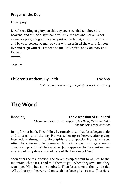# **Prayer of the Day**

Let us pray.

Lord Jesus, King of glory, on this day you ascended far above the heavens, and at God's right hand you rule the nations. Leave us not alone, we pray, but grant us the Spirit of truth that, at your command and by your power, we may be your witnesses in all the world; for you live and reign with the Father and the Holy Spirit, one God, now and forever.

**Amen.**

*Be seated*

# **Children's Anthem: By Faith CW 868**

*Children sing verses 1-3, congregation joins on v. 4-5*

# **The Word**

# **Reading The Ascension of Our Lord**

*A harmony based on the Gospels of Matthew, Mark, and Luke and the Acts of the Apostles*

In my former book, Theophilus, I wrote about all that Jesus began to do and to teach until the day He was taken up to heaven, after giving instructions through the Holy Spirit to the apostles He had chosen. After His suffering, He presented himself to them and gave many convincing proofs that He was alive. Jesus appeared to the apostles over a period of forty days and spoke about the kingdom of God.

Soon after the resurrection, the eleven disciples went to Galilee, to the mountain where Jesus had told them to go. When they saw Him, they worshiped Him; but some doubted. Then Jesus came to them and said, "All authority in heaven and on earth has been given to me. Therefore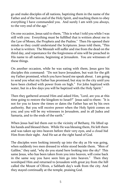go and make disciples of all nations, baptizing them in the name of the Father and of the Son and of the Holy Spirit, and teaching them to obey everything I have commanded you. And surely I am with you always, to the very end of the age."

On one occasion, Jesus said to them, "This is what I told you while I was still with you: Everything must be fulfilled that is written about me in the Law of Moses, the Prophets and the Psalms." Then He opened their minds so they could understand the Scriptures. Jesus told them, "This is what is written: The Messiah will suffer and rise from the dead on the third day, and repentance for the forgiveness of sins will be preached in His name to all nations, beginning at Jerusalem. You are witnesses of these things.

On another occasion, while he was eating with them, Jesus gave his disciples this command: "Do not leave Jerusalem, but wait for the gift my Father promised, which you have heard me speak about. I am going to send you what my Father has promised; but stay in the city until you have been clothed with power from on high." For John baptized with water, but in a few days you will be baptized with the Holy Spirit."

Then they gathered around Him and asked Him, "Lord, are you at this time going to restore the kingdom to Israel?" Jesus said to them: "It is not for you to know the times or dates the Father has set by his own authority. But you will receive power when the Holy Spirit comes on you; and you will be my witnesses in Jerusalem, and in all Judea and Samaria, and to the ends of the earth."

When Jesus had led them out to the vicinity of Bethany, He lifted up his hands and blessed them. While He was blessing them, He left them and was taken up into heaven before their very eyes, and a cloud hid Him from their sight. And He sat at the right hand of God.

The disciples were looking intently up into the sky as He was going, when suddenly two men dressed in white stood beside them. "Men of Galilee," they said, "why do you stand here looking into the sky? This same Jesus, who has been taken from you into heaven, will come back in the same way you have seen him go into heaven." Then they worshiped Him and returned to Jerusalem with great joy from the hill called the Mount of Olives, a Sabbath day's walk from the city. And they stayed continually at the temple, praising God.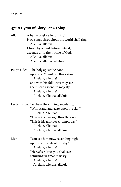*Be seated*

# **472 A Hymn of Glory Let Us Sing**

| All:         | A hymn of glory let us sing!<br>New songs throughout the world shall ring:<br>Alleluia, alleluia!<br>Christ, by a road before untrod,<br>ascends unto the throne of God.<br>Alleluia, alleluia!<br>Alleluia, alleluia, alleluia!                  |
|--------------|---------------------------------------------------------------------------------------------------------------------------------------------------------------------------------------------------------------------------------------------------|
| Pulpit side: | The holy apostolic band<br>upon the Mount of Olives stand,<br>Alleluia, alleluia!<br>and with his followers they see<br>their Lord ascend in majesty.<br>Alleluia, alleluia!<br>Alleluia, alleluia, alleluia!                                     |
|              | Lectern side: To them the shining angels cry,<br>"Why stand and gaze upon the sky?"<br>Alleluia, alleluia!<br>"This is the Savior," thus they say.<br>"This is his glorious triumph day."<br>Alleluia, alleluia!<br>Alleluia, alleluia, alleluia! |
| Men:         | "You see him now, ascending high<br>up to the portals of the sky."<br>Alleluia, alleluia!<br>"Hereafter Jesus you shall see<br>returning in great majesty."<br>Alleluia, alleluia!<br>Alleluia, alleluia, alleluia                                |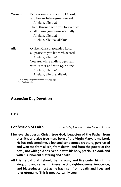Women: Be now our joy on earth, O Lord, and be our future great reward. Alleluia, alleluia! Then, throned with you forever, we shall praise your name eternally. Alleluia, alleluia! Alleluia, alleluia, alleluia! All: O risen Christ, ascended Lord, all praise to you let earth accord. Alleluia, alleluia! You are, while endless ages run, with Father and with Spirit one. Alleluia, alleluia! Alleluia, alleluia, alleluia!

Text: tr. composite; The Venerable Bede, 673–735, abr. Text: Public domain

# **Ascension Day Devotion**

*Stand*

**Confession of Faith** *Luther's Explanation of the Second Article*

- **I believe that Jesus Christ, true God, begotten of the Father from eternity, and also true man, born of the Virgin Mary, is my Lord. He has redeemed me, a lost and condemned creature, purchased and won me from all sin, from death, and from the power of the devil, not with gold or silver but with his holy, precious blood, and with his innocent suffering and death.**
- **All this he did that I should be his own, and live under him in his kingdom, and serve him in everlasting righteousness, innocence, and blessedness, just as he has risen from death and lives and rules eternally. This is most certainly true.**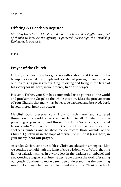# **Offering & Friendship Register**

*Moved by God's love in Christ, we offer him our first and best gifts, purely out of thanks to him. As the offering is gathered, please sign the Friendship Register as it is passed.*

*Stand*

# **Prayer of the Church**

O Lord, since your Son has gone up with a shout and the sound of a trumpet, ascended in triumph and is seated at your right hand, so open our lips to sing praises to our King, rejoicing and living in the truth of his victory for us. Lord, in your mercy, **hear our prayer.**

Heavenly Father, your Son has commanded us to go into all the world and proclaim the Gospel to the whole creation. Bless the proclamation of Your Church, that many may believe, be baptized and be saved. Lord, in your mercy, **hear our prayer.**

Merciful God, preserve your Holy Church here and scattered throughout the world. Give steadfast faith to all Christians by the preaching of your Word and through the Holy Sacraments, and send laborers into Your harvest. Enliven the love of your saints to bear one another's burdens and to show mercy toward those outside of the Church. Quicken us in the hope of eternal life in Christ Jesus. Lord, in your mercy, **hear our prayer.**

Ascended Savior, continue to bless Christian education among us. May we continue to hold high the lamp of true wisdom, your Word, that the light of salvation shines in a world lost in the darkness of unbelief and sin. Continue to give us an intense desire to support the work of training our youth. Continue to move parents to understand that the one thing needful for their children can be found daily in a Christian school.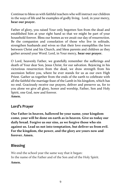Continue to bless us with faithful teachers who will instruct our children in the ways of life and be examples of godly living. Lord, in your mercy, **hear our prayer.**

Father of glory, you raised Your only begotten Son from the dead and established him at your right hand so that we might be part of your household forever. Bless our homes as we await our day of resurrection. Be the companion and consolation of those who live in solitude, strengthen husbands and wives so that their love exemplifies the love between Christ and his Church, and bless parents and children as they gather around your Word. Lord, in Your mercy, **hear our prayer.**

O Lord, heavenly Father, we gratefully remember the sufferings and death of Your dear Son, Jesus Christ, for our salvation. Rejoicing in his victorious resurrection from the dead, we draw strength from his ascension before you, where he ever stands for us as our own High Priest. Gather us together from the ends of the earth to celebrate with all the faithful the marriage feast of the Lamb in his kingdom, which has no end. Graciously receive our prayers, deliver and preserve us, for to you alone we give all glory, honor and worship, Father, Son and Holy Spirit, one God, now and forever. **Amen.** 

# **Lord's Prayer**

**Our Father in heaven, hallowed be your name, your kingdom come, your will be done on earth as in heaven. Give us today our daily bread. Forgive us our sins, as we forgive those who sin against us. Lead us not into temptation, but deliver us from evil. For the kingdom, the power, and the glory are yours now and forever. Amen.**

# **Blessing**

We end the school year the same way that it began: In the name of the Father and of the Son and of the Holy Spirit.

### **Amen.**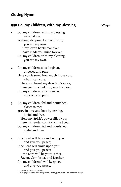### **Closing Hymn**

# **930 Go, My Children, with My Blessing** *CW 930* 1 Go, my children, with my blessing, never alone. Waking, sleeping, I am with you; you are my own. In my love's baptismal river I have made you mine forever. Go, my children, with my blessing, you are my own. 2 Go, my children, sins forgiven, at peace and pure. Here you learned how much I love you, what I can cure. Here you heard my dear Son's story; here you touched him, saw his glory. Go, my children, sins forgiven, at peace and pure. 3 Go, my children, fed and nourished, closer to me; grow in love and love by serving, joyful and free. Here my Spirit's power filled you; here his tender comfort stilled you. Go, my children, fed and nourished, joyful and free. 4 I the Lord will bless and keep you and give you peace; I the Lord will smile upon you and give you peace; I the Lord will be your Father, Savior, Comforter, and Brother. Go, my children; I will keep you and give you peace.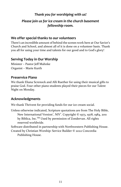# *Thank you for worshiping with us!*

# *Please join us for ice cream in the church basement fellowship room.*

# **We offer special thanks to our volunteers**

There's an incredible amount of behind the scenes work here at Our Savior's Church and School, and almost all of it is done on a volunteer basis. Thank you all for using your time and talents for our good and to God's glory!

# **Serving Today in Our Worship**

Minister – Pastor Jeff Mahnke Organist – Marie Kurth

# **Preservice Piano**

We thank Eliana Screnock and Alli Ruether for using their musical gifts to praise God. Four other piano students played their pieces for our Talent Night on Monday.

# **Acknowledgments**

We thank Thrivent for providing funds for our ice cream social.

Unless otherwise indicated, Scripture quotations are from The Holy Bible, New International Version<sup>®</sup>, NIV<sup>®</sup>. Copyright © 1973, 1978, 1984, 2011 by Biblica, Inc.<sup>™</sup> Used by permission of Zondervan. All rights reserved worldwide.

Software distributed in partnership with Northwestern Publishing House. Created by Christian Worship: Service Builder © 2022 Concordia

Publishing House.